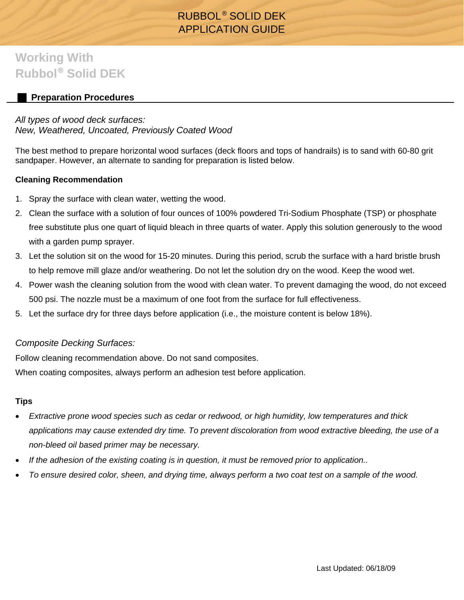# RUBBOL® SOLID DEK APPLICATION GUIDE

# **Working With Rubbol**® **Solid DEK**

## **Preparation Procedures**

### *All types of wood deck surfaces: New, Weathered, Uncoated, Previously Coated Wood*

The best method to prepare horizontal wood surfaces (deck floors and tops of handrails) is to sand with 60-80 grit sandpaper. However, an alternate to sanding for preparation is listed below.

#### **Cleaning Recommendation**

- 1. Spray the surface with clean water, wetting the wood.
- 2. Clean the surface with a solution of four ounces of 100% powdered Tri-Sodium Phosphate (TSP) or phosphate free substitute plus one quart of liquid bleach in three quarts of water. Apply this solution generously to the wood with a garden pump sprayer.
- 3. Let the solution sit on the wood for 15-20 minutes. During this period, scrub the surface with a hard bristle brush to help remove mill glaze and/or weathering. Do not let the solution dry on the wood. Keep the wood wet.
- 4. Power wash the cleaning solution from the wood with clean water. To prevent damaging the wood, do not exceed 500 psi. The nozzle must be a maximum of one foot from the surface for full effectiveness.
- 5. Let the surface dry for three days before application (i.e., the moisture content is below 18%).

### *Composite Decking Surfaces:*

Follow cleaning recommendation above. Do not sand composites.

When coating composites, always perform an adhesion test before application.

#### **Tips**

- *Extractive prone wood species such as cedar or redwood, or high humidity, low temperatures and thick applications may cause extended dry time. To prevent discoloration from wood extractive bleeding, the use of a non-bleed oil based primer may be necessary.*
- *If the adhesion of the existing coating is in question, it must be removed prior to application..*
- *To ensure desired color, sheen, and drying time, always perform a two coat test on a sample of the wood.*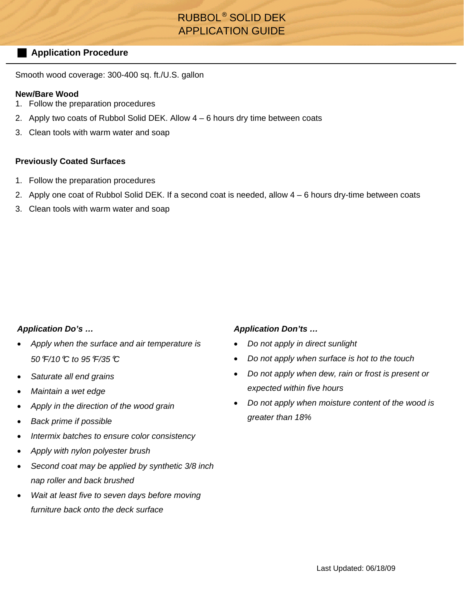# RUBBOL® SOLID DEK APPLICATION GUIDE

#### **Application Procedure**

Smooth wood coverage: 300-400 sq. ft./U.S. gallon

#### **New/Bare Wood**

- 1. Follow the preparation procedures
- 2. Apply two coats of Rubbol Solid DEK. Allow 4 6 hours dry time between coats
- 3. Clean tools with warm water and soap

#### **Previously Coated Surfaces**

- 1. Follow the preparation procedures
- 2. Apply one coat of Rubbol Solid DEK. If a second coat is needed, allow 4 6 hours dry-time between coats
- 3. Clean tools with warm water and soap

#### *Application Do's …*

- *Apply when the surface and air temperature is 50*°*F/10*°*C to 95*°*F/35*°*C*
- *Saturate all end grains*
- *Maintain a wet edge*
- *Apply in the direction of the wood grain*
- *Back prime if possible*
- *Intermix batches to ensure color consistency*
- *Apply with nylon polyester brush*
- *Second coat may be applied by synthetic 3/8 inch nap roller and back brushed*
- *Wait at least five to seven days before moving furniture back onto the deck surface*

#### *Application Don'ts …*

- *Do not apply in direct sunlight*
- *Do not apply when surface is hot to the touch*
- *Do not apply when dew, rain or frost is present or expected within five hours*
- *Do not apply when moisture content of the wood is greater than 18%*